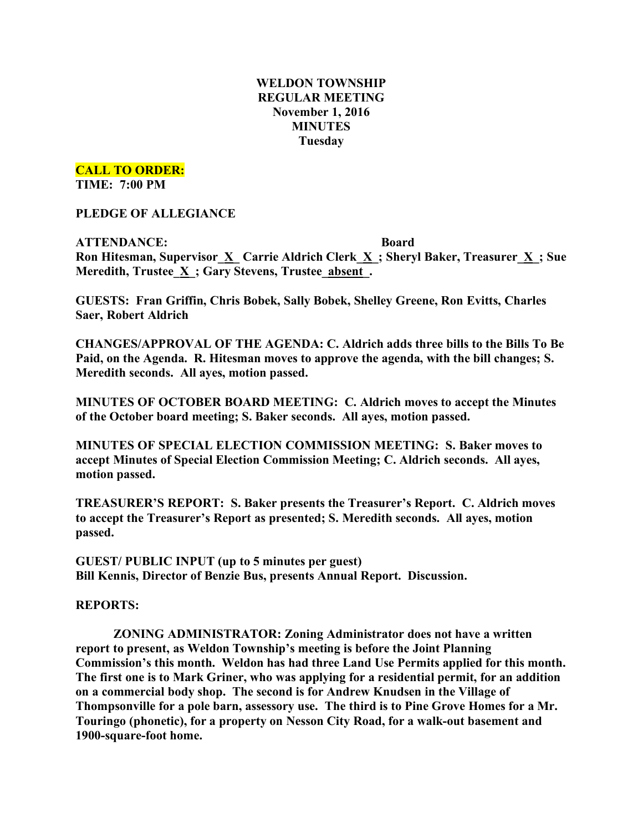# **WELDON TOWNSHIP REGULAR MEETING November 1, 2016 MINUTES Tuesday**

**CALL TO ORDER:**

**TIME: 7:00 PM**

**PLEDGE OF ALLEGIANCE**

**ATTENDANCE: Board Ron Hitesman, Supervisor\_X\_ Carrie Aldrich Clerk\_X\_; Sheryl Baker, Treasurer\_X\_; Sue Meredith, Trustee\_X\_; Gary Stevens, Trustee\_absent\_.**

**GUESTS: Fran Griffin, Chris Bobek, Sally Bobek, Shelley Greene, Ron Evitts, Charles Saer, Robert Aldrich**

**CHANGES/APPROVAL OF THE AGENDA: C. Aldrich adds three bills to the Bills To Be Paid, on the Agenda. R. Hitesman moves to approve the agenda, with the bill changes; S. Meredith seconds. All ayes, motion passed.**

**MINUTES OF OCTOBER BOARD MEETING: C. Aldrich moves to accept the Minutes of the October board meeting; S. Baker seconds. All ayes, motion passed.**

**MINUTES OF SPECIAL ELECTION COMMISSION MEETING: S. Baker moves to accept Minutes of Special Election Commission Meeting; C. Aldrich seconds. All ayes, motion passed.**

**TREASURER'S REPORT: S. Baker presents the Treasurer's Report. C. Aldrich moves to accept the Treasurer's Report as presented; S. Meredith seconds. All ayes, motion passed.**

**GUEST/ PUBLIC INPUT (up to 5 minutes per guest) Bill Kennis, Director of Benzie Bus, presents Annual Report. Discussion.**

**REPORTS:**

**ZONING ADMINISTRATOR: Zoning Administrator does not have a written report to present, as Weldon Township's meeting is before the Joint Planning Commission's this month. Weldon has had three Land Use Permits applied for this month. The first one is to Mark Griner, who was applying for a residential permit, for an addition on a commercial body shop. The second is for Andrew Knudsen in the Village of Thompsonville for a pole barn, assessory use. The third is to Pine Grove Homes for a Mr. Touringo (phonetic), for a property on Nesson City Road, for a walk-out basement and 1900-square-foot home.**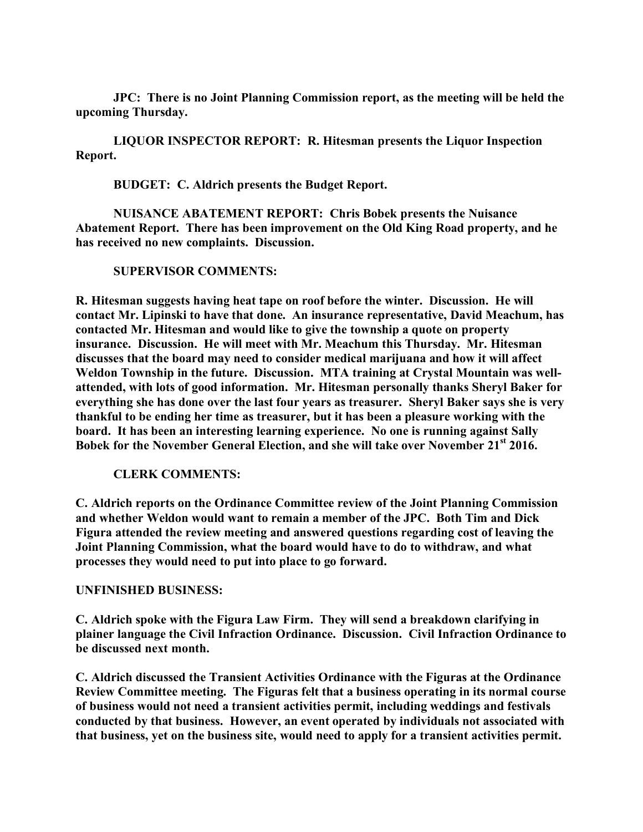**JPC: There is no Joint Planning Commission report, as the meeting will be held the upcoming Thursday.**

**LIQUOR INSPECTOR REPORT: R. Hitesman presents the Liquor Inspection Report.**

**BUDGET: C. Aldrich presents the Budget Report.**

**NUISANCE ABATEMENT REPORT: Chris Bobek presents the Nuisance Abatement Report. There has been improvement on the Old King Road property, and he has received no new complaints. Discussion.**

#### **SUPERVISOR COMMENTS:**

**R. Hitesman suggests having heat tape on roof before the winter. Discussion. He will contact Mr. Lipinski to have that done. An insurance representative, David Meachum, has contacted Mr. Hitesman and would like to give the township a quote on property insurance. Discussion. He will meet with Mr. Meachum this Thursday. Mr. Hitesman discusses that the board may need to consider medical marijuana and how it will affect Weldon Township in the future. Discussion. MTA training at Crystal Mountain was wellattended, with lots of good information. Mr. Hitesman personally thanks Sheryl Baker for everything she has done over the last four years as treasurer. Sheryl Baker says she is very thankful to be ending her time as treasurer, but it has been a pleasure working with the board. It has been an interesting learning experience. No one is running against Sally Bobek for the November General Election, and she will take over November 21st 2016.**

#### **CLERK COMMENTS:**

**C. Aldrich reports on the Ordinance Committee review of the Joint Planning Commission and whether Weldon would want to remain a member of the JPC. Both Tim and Dick Figura attended the review meeting and answered questions regarding cost of leaving the Joint Planning Commission, what the board would have to do to withdraw, and what processes they would need to put into place to go forward.**

# **UNFINISHED BUSINESS:**

**C. Aldrich spoke with the Figura Law Firm. They will send a breakdown clarifying in plainer language the Civil Infraction Ordinance. Discussion. Civil Infraction Ordinance to be discussed next month.**

**C. Aldrich discussed the Transient Activities Ordinance with the Figuras at the Ordinance Review Committee meeting. The Figuras felt that a business operating in its normal course of business would not need a transient activities permit, including weddings and festivals conducted by that business. However, an event operated by individuals not associated with that business, yet on the business site, would need to apply for a transient activities permit.**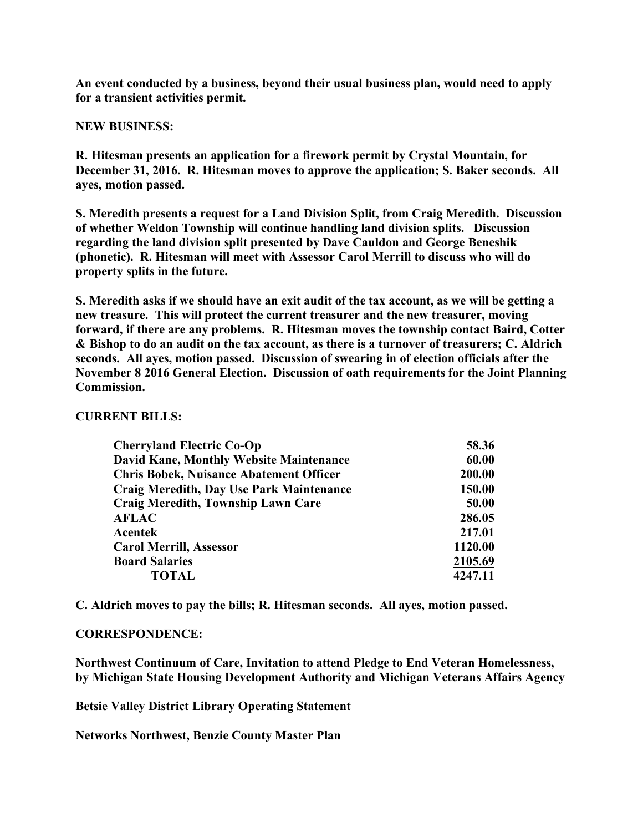**An event conducted by a business, beyond their usual business plan, would need to apply for a transient activities permit.**

#### **NEW BUSINESS:**

**R. Hitesman presents an application for a firework permit by Crystal Mountain, for December 31, 2016. R. Hitesman moves to approve the application; S. Baker seconds. All ayes, motion passed.**

**S. Meredith presents a request for a Land Division Split, from Craig Meredith. Discussion of whether Weldon Township will continue handling land division splits. Discussion regarding the land division split presented by Dave Cauldon and George Beneshik (phonetic). R. Hitesman will meet with Assessor Carol Merrill to discuss who will do property splits in the future.**

**S. Meredith asks if we should have an exit audit of the tax account, as we will be getting a new treasure. This will protect the current treasurer and the new treasurer, moving forward, if there are any problems. R. Hitesman moves the township contact Baird, Cotter & Bishop to do an audit on the tax account, as there is a turnover of treasurers; C. Aldrich seconds. All ayes, motion passed. Discussion of swearing in of election officials after the November 8 2016 General Election. Discussion of oath requirements for the Joint Planning Commission.**

### **CURRENT BILLS:**

| <b>Cherryland Electric Co-Op</b>                | 58.36   |
|-------------------------------------------------|---------|
| <b>David Kane, Monthly Website Maintenance</b>  | 60.00   |
| <b>Chris Bobek, Nuisance Abatement Officer</b>  | 200.00  |
| <b>Craig Meredith, Day Use Park Maintenance</b> | 150.00  |
| <b>Craig Meredith, Township Lawn Care</b>       | 50.00   |
| <b>AFLAC</b>                                    | 286.05  |
| Acentek                                         | 217.01  |
| <b>Carol Merrill, Assessor</b>                  | 1120.00 |
| <b>Board Salaries</b>                           | 2105.69 |
| TOTAL                                           | 4247.11 |

**C. Aldrich moves to pay the bills; R. Hitesman seconds. All ayes, motion passed.**

# **CORRESPONDENCE:**

**Northwest Continuum of Care, Invitation to attend Pledge to End Veteran Homelessness, by Michigan State Housing Development Authority and Michigan Veterans Affairs Agency**

**Betsie Valley District Library Operating Statement**

**Networks Northwest, Benzie County Master Plan**